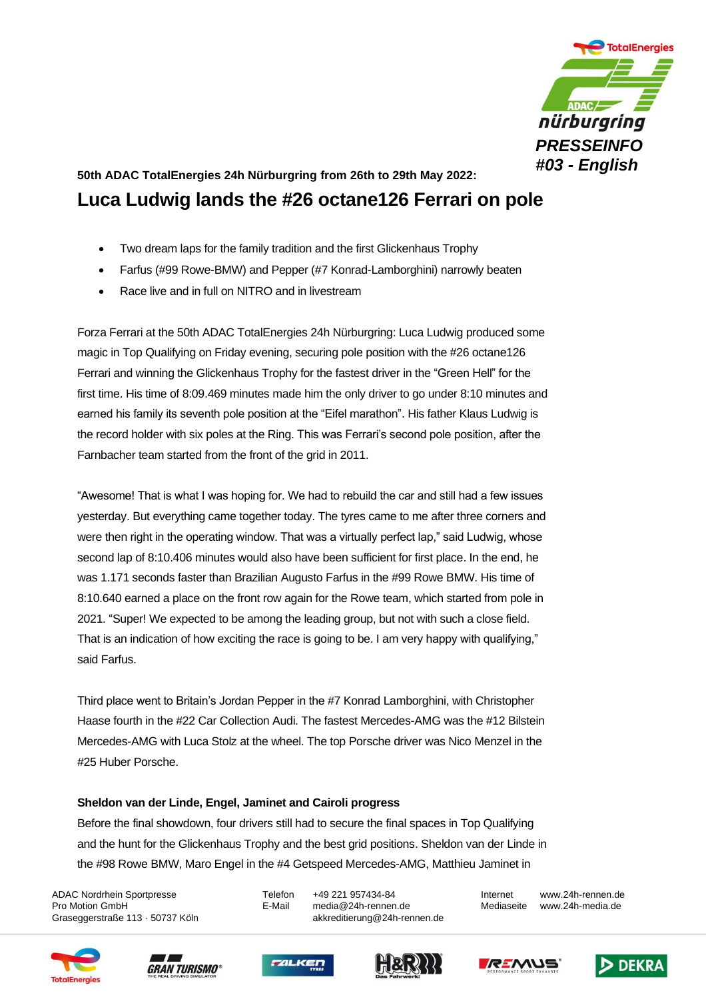

## **50th ADAC TotalEnergies 24h Nürburgring from 26th to 29th May 2022: Luca Ludwig lands the #26 octane126 Ferrari on pole**

- Two dream laps for the family tradition and the first Glickenhaus Trophy
- Farfus (#99 Rowe-BMW) and Pepper (#7 Konrad-Lamborghini) narrowly beaten
- Race live and in full on NITRO and in livestream

Forza Ferrari at the 50th ADAC TotalEnergies 24h Nürburgring: Luca Ludwig produced some magic in Top Qualifying on Friday evening, securing pole position with the #26 octane126 Ferrari and winning the Glickenhaus Trophy for the fastest driver in the "Green Hell" for the first time. His time of 8:09.469 minutes made him the only driver to go under 8:10 minutes and earned his family its seventh pole position at the "Eifel marathon". His father Klaus Ludwig is the record holder with six poles at the Ring. This was Ferrari's second pole position, after the Farnbacher team started from the front of the grid in 2011.

"Awesome! That is what I was hoping for. We had to rebuild the car and still had a few issues yesterday. But everything came together today. The tyres came to me after three corners and were then right in the operating window. That was a virtually perfect lap," said Ludwig, whose second lap of 8:10.406 minutes would also have been sufficient for first place. In the end, he was 1.171 seconds faster than Brazilian Augusto Farfus in the #99 Rowe BMW. His time of 8:10.640 earned a place on the front row again for the Rowe team, which started from pole in 2021. "Super! We expected to be among the leading group, but not with such a close field. That is an indication of how exciting the race is going to be. I am very happy with qualifying," said Farfus.

Third place went to Britain's Jordan Pepper in the #7 Konrad Lamborghini, with Christopher Haase fourth in the #22 Car Collection Audi. The fastest Mercedes-AMG was the #12 Bilstein Mercedes-AMG with Luca Stolz at the wheel. The top Porsche driver was Nico Menzel in the #25 Huber Porsche.

## **Sheldon van der Linde, Engel, Jaminet and Cairoli progress**

Before the final showdown, four drivers still had to secure the final spaces in Top Qualifying and the hunt for the Glickenhaus Trophy and the best grid positions. Sheldon van der Linde in the #98 Rowe BMW, Maro Engel in the #4 Getspeed Mercedes-AMG, Matthieu Jaminet in

ADAC Nordrhein Sportpresse Telefon +49 221 957434-84 Internet www.24h-rennen.de Pro Motion GmbH E-Mail media@24h-rennen.de Mediaseite www.24h-media.de Graseggerstraße 113 · 50737 Köln auch akkreditierung@24h-rennen.de